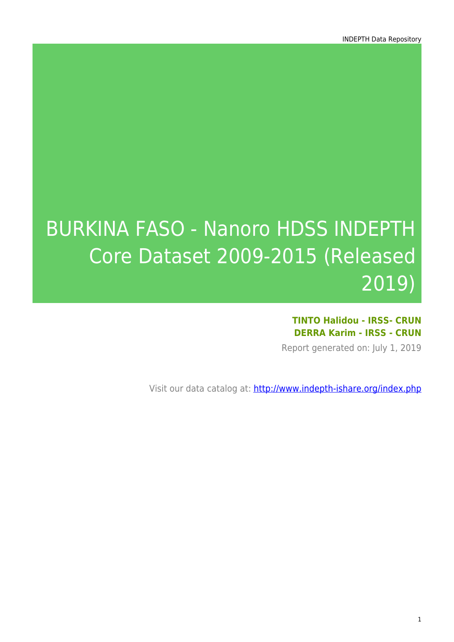# BURKINA FASO - Nanoro HDSS INDEPTH Core Dataset 2009-2015 (Released 2019)

### **TINTO Halidou - IRSS- CRUN DERRA Karim - IRSS - CRUN**

Report generated on: July 1, 2019

Visit our data catalog at: http://www.indepth-ishare.org/index.php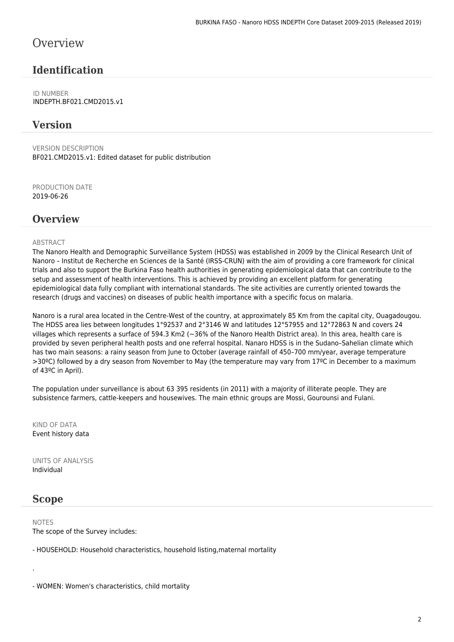### **Overview**

### **Identification**

ID NUMBER INDEPTH.BF021.CMD2015.v1

### **Version**

VERSION DESCRIPTION BF021.CMD2015.v1: Edited dataset for public distribution

PRODUCTION DATE 2019-06-26

### **Overview**

#### **ABSTRACT**

The Nanoro Health and Demographic Surveillance System (HDSS) was established in 2009 by the Clinical Research Unit of Nanoro – Institut de Recherche en Sciences de la Santé (IRSS-CRUN) with the aim of providing a core framework for clinical trials and also to support the Burkina Faso health authorities in generating epidemiological data that can contribute to the setup and assessment of health interventions. This is achieved by providing an excellent platform for generating epidemiological data fully compliant with international standards. The site activities are currently oriented towards the research (drugs and vaccines) on diseases of public health importance with a specific focus on malaria.

Nanoro is a rural area located in the Centre-West of the country, at approximately 85 Km from the capital city, Ouagadougou. The HDSS area lies between longitudes 1°92537 and 2°3146 W and latitudes 12°57955 and 12°72863 N and covers 24 villages which represents a surface of 594.3 Km2 (~36% of the Nanoro Health District area). In this area, health care is provided by seven peripheral health posts and one referral hospital. Nanaro HDSS is in the Sudano–Sahelian climate which has two main seasons: a rainy season from June to October (average rainfall of 450–700 mm/year, average temperature >30ºC) followed by a dry season from November to May (the temperature may vary from 17ºC in December to a maximum of 43ºC in April).

The population under surveillance is about 63 395 residents (in 2011) with a majority of illiterate people. They are subsistence farmers, cattle-keepers and housewives. The main ethnic groups are Mossi, Gourounsi and Fulani.

KIND OF DATA Event history data

UNITS OF ANALYSIS Individual

#### **Scope**

.

NOTES The scope of the Survey includes:

- HOUSEHOLD: Household characteristics, household listing,maternal mortality

<sup>-</sup> WOMEN: Women's characteristics, child mortality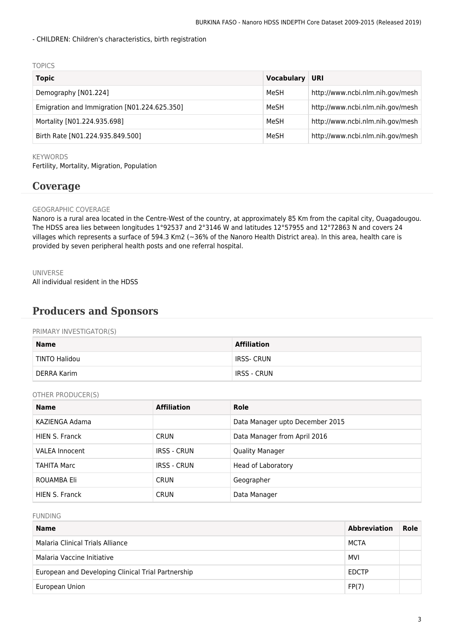- CHILDREN: Children's characteristics, birth registration

TOPICS

| <b>Topic</b>                                 | <b>Vocabulary   URI</b> |                                  |
|----------------------------------------------|-------------------------|----------------------------------|
| Demography [N01.224]                         | MeSH                    | http://www.ncbi.nlm.nih.gov/mesh |
| Emigration and Immigration [N01.224.625.350] | MeSH                    | http://www.ncbi.nlm.nih.gov/mesh |
| Mortality [N01.224.935.698]                  | MeSH                    | http://www.ncbi.nlm.nih.gov/mesh |
| Birth Rate [N01.224.935.849.500]             | MeSH                    | http://www.ncbi.nlm.nih.gov/mesh |

#### KEYWORDS

Fertility, Mortality, Migration, Population

#### **Coverage**

#### GEOGRAPHIC COVERAGE

Nanoro is a rural area located in the Centre-West of the country, at approximately 85 Km from the capital city, Ouagadougou. The HDSS area lies between longitudes 1°92537 and 2°3146 W and latitudes 12°57955 and 12°72863 N and covers 24 villages which represents a surface of 594.3 Km2 (~36% of the Nanoro Health District area). In this area, health care is provided by seven peripheral health posts and one referral hospital.

#### UNIVERSE

All individual resident in the HDSS

### **Producers and Sponsors**

#### PRIMARY INVESTIGATOR(S)

| <b>Name</b>   | Affiliation        |
|---------------|--------------------|
| TINTO Halidou | IRSS- CRUN         |
| DERRA Karim   | <b>IRSS - CRUN</b> |

#### OTHER PRODUCER(S)

| <b>Name</b>           | <b>Affiliation</b> | Role                            |
|-----------------------|--------------------|---------------------------------|
| KAZIENGA Adama        |                    | Data Manager upto December 2015 |
| <b>HIEN S. Franck</b> | <b>CRUN</b>        | Data Manager from April 2016    |
| <b>VALEA Innocent</b> | <b>IRSS - CRUN</b> | <b>Quality Manager</b>          |
| <b>TAHITA Marc</b>    | <b>IRSS - CRUN</b> | Head of Laboratory              |
| ROUAMBA Eli           | <b>CRUN</b>        | Geographer                      |
| <b>HIEN S. Franck</b> | <b>CRUN</b>        | Data Manager                    |

#### FUNDING

| <b>Name</b>                                        | <b>Abbreviation</b> | Role |
|----------------------------------------------------|---------------------|------|
| Malaria Clinical Trials Alliance                   | <b>MCTA</b>         |      |
| Malaria Vaccine Initiative                         | <b>MVI</b>          |      |
| European and Developing Clinical Trial Partnership | <b>EDCTP</b>        |      |
| European Union                                     | FP(7)               |      |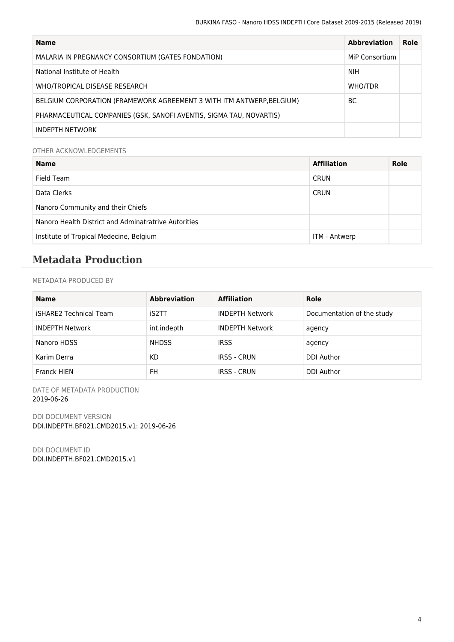| <b>Name</b>                                                           | <b>Abbreviation</b> | Role |
|-----------------------------------------------------------------------|---------------------|------|
| MALARIA IN PREGNANCY CONSORTIUM (GATES FONDATION)                     | MiP Consortium      |      |
| National Institute of Health                                          | <b>NIH</b>          |      |
| WHO/TROPICAL DISEASE RESEARCH                                         | WHO/TDR             |      |
| BELGIUM CORPORATION (FRAMEWORK AGREEMENT 3 WITH ITM ANTWERP, BELGIUM) | <b>BC</b>           |      |
| PHARMACEUTICAL COMPANIES (GSK, SANOFI AVENTIS, SIGMA TAU, NOVARTIS)   |                     |      |
| <b>INDEPTH NETWORK</b>                                                |                     |      |

#### OTHER ACKNOWLEDGEMENTS

| <b>Name</b>                                          | <b>Affiliation</b> | Role |
|------------------------------------------------------|--------------------|------|
| Field Team                                           | <b>CRUN</b>        |      |
| Data Clerks                                          | <b>CRUN</b>        |      |
| Nanoro Community and their Chiefs                    |                    |      |
| Nanoro Health District and Adminatratrive Autorities |                    |      |
| Institute of Tropical Medecine, Belgium              | ITM - Antwerp      |      |

### **Metadata Production**

#### METADATA PRODUCED BY

| <b>Name</b>                   | <b>Abbreviation</b> | <b>Affiliation</b>     | Role                       |
|-------------------------------|---------------------|------------------------|----------------------------|
| <b>iSHARE2 Technical Team</b> | iS2TT               | <b>INDEPTH Network</b> | Documentation of the study |
| <b>INDEPTH Network</b>        | int.indepth         | <b>INDEPTH Network</b> | agency                     |
| Nanoro HDSS                   | <b>NHDSS</b>        | <b>IRSS</b>            | agency                     |
| Karim Derra                   | KD                  | IRSS - CRUN            | <b>DDI Author</b>          |
| <b>Franck HIEN</b>            | FH                  | IRSS - CRUN            | <b>DDI Author</b>          |

DATE OF METADATA PRODUCTION 2019-06-26

DDI DOCUMENT VERSION DDI.INDEPTH.BF021.CMD2015.v1: 2019-06-26

DDI DOCUMENT ID DDI.INDEPTH.BF021.CMD2015.v1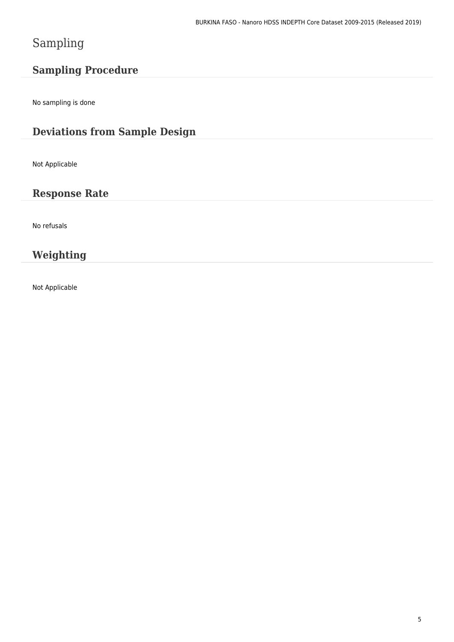# Sampling

### **Sampling Procedure**

No sampling is done

### **Deviations from Sample Design**

Not Applicable

### **Response Rate**

No refusals

### **Weighting**

Not Applicable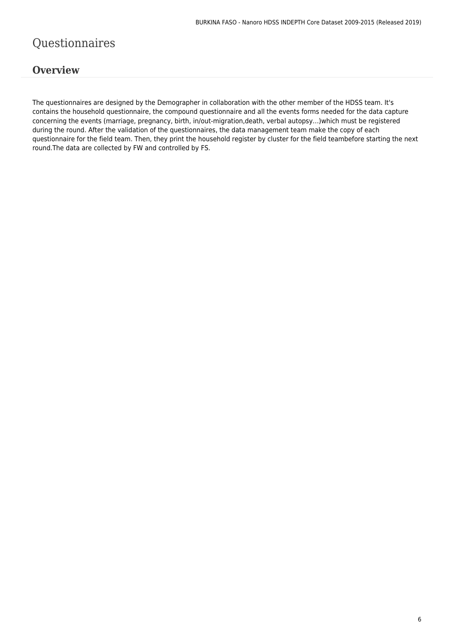### Questionnaires

### **Overview**

The questionnaires are designed by the Demographer in collaboration with the other member of the HDSS team. It's contains the household questionnaire, the compound questionnaire and all the events forms needed for the data capture concerning the events (marriage, pregnancy, birth, in/out-migration,death, verbal autopsy…)which must be registered during the round. After the validation of the questionnaires, the data management team make the copy of each questionnaire for the field team. Then, they print the household register by cluster for the field teambefore starting the next round.The data are collected by FW and controlled by FS.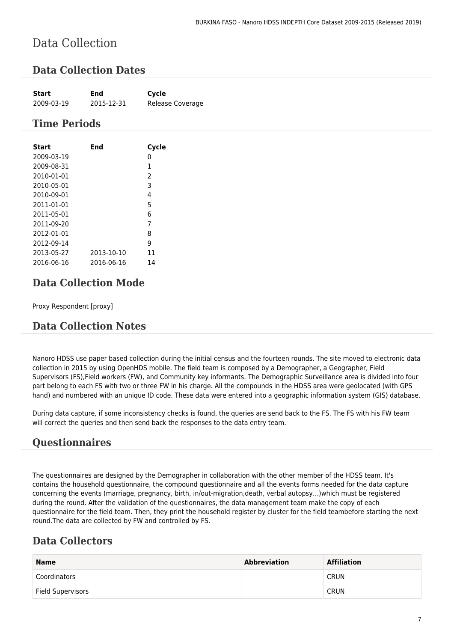# Data Collection

### **Data Collection Dates**

| Start      | End        | Cycle            |
|------------|------------|------------------|
| 2009-03-19 | 2015-12-31 | Release Coverage |

### **Time Periods**

| Start      | End        | Cycle         |
|------------|------------|---------------|
| 2009-03-19 |            | 0             |
| 2009-08-31 |            | 1             |
| 2010-01-01 |            | $\mathcal{P}$ |
| 2010-05-01 |            | 3             |
| 2010-09-01 |            | 4             |
| 2011-01-01 |            | 5             |
| 2011-05-01 |            | 6             |
| 2011-09-20 |            | 7             |
| 2012-01-01 |            | 8             |
| 2012-09-14 |            | 9             |
| 2013-05-27 | 2013-10-10 | 11            |
| 2016-06-16 | 2016-06-16 | 14            |
|            |            |               |

### **Data Collection Mode**

Proxy Respondent [proxy]

### **Data Collection Notes**

Nanoro HDSS use paper based collection during the initial census and the fourteen rounds. The site moved to electronic data collection in 2015 by using OpenHDS mobile. The field team is composed by a Demographer, a Geographer, Field Supervisors (FS),Field workers (FW), and Community key informants. The Demographic Surveillance area is divided into four part belong to each FS with two or three FW in his charge. All the compounds in the HDSS area were geolocated (with GPS hand) and numbered with an unique ID code. These data were entered into a geographic information system (GIS) database.

During data capture, if some inconsistency checks is found, the queries are send back to the FS. The FS with his FW team will correct the queries and then send back the responses to the data entry team.

### **Questionnaires**

The questionnaires are designed by the Demographer in collaboration with the other member of the HDSS team. It's contains the household questionnaire, the compound questionnaire and all the events forms needed for the data capture concerning the events (marriage, pregnancy, birth, in/out-migration,death, verbal autopsy…)which must be registered during the round. After the validation of the questionnaires, the data management team make the copy of each questionnaire for the field team. Then, they print the household register by cluster for the field teambefore starting the next round.The data are collected by FW and controlled by FS.

### **Data Collectors**

| <b>Name</b>              | <b>Abbreviation</b> | <b>Affiliation</b> |
|--------------------------|---------------------|--------------------|
| Coordinators             |                     | <b>CRUN</b>        |
| <b>Field Supervisors</b> |                     | <b>CRUN</b>        |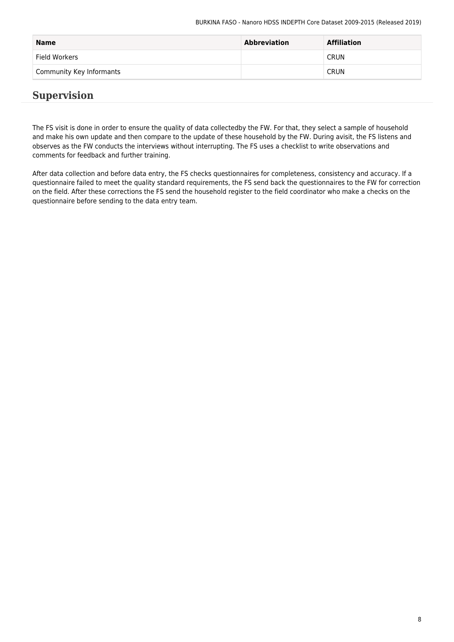| <b>Name</b>              | <b>Abbreviation</b> | <b>Affiliation</b> |
|--------------------------|---------------------|--------------------|
| Field Workers            |                     | <b>CRUN</b>        |
| Community Key Informants |                     | <b>CRUN</b>        |

### **Supervision**

The FS visit is done in order to ensure the quality of data collectedby the FW. For that, they select a sample of household and make his own update and then compare to the update of these household by the FW. During avisit, the FS listens and observes as the FW conducts the interviews without interrupting. The FS uses a checklist to write observations and comments for feedback and further training.

After data collection and before data entry, the FS checks questionnaires for completeness, consistency and accuracy. If a questionnaire failed to meet the quality standard requirements, the FS send back the questionnaires to the FW for correction on the field. After these corrections the FS send the household register to the field coordinator who make a checks on the questionnaire before sending to the data entry team.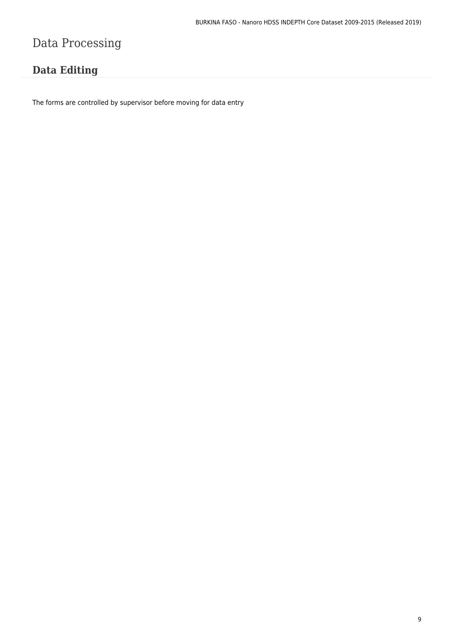# Data Processing

### **Data Editing**

The forms are controlled by supervisor before moving for data entry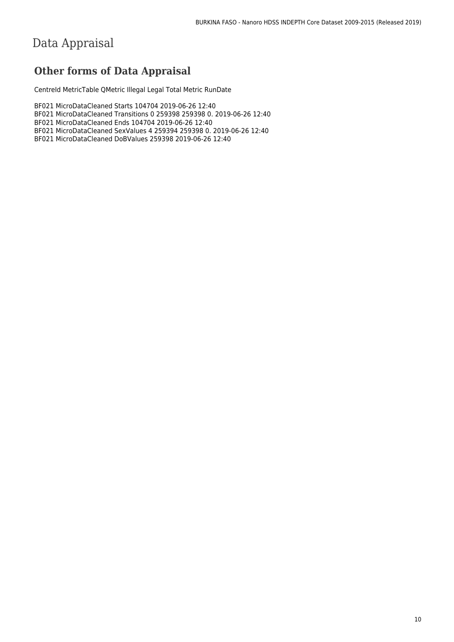### Data Appraisal

### **Other forms of Data Appraisal**

CentreId MetricTable QMetric Illegal Legal Total Metric RunDate

BF021 MicroDataCleaned Starts 104704 2019-06-26 12:40

BF021 MicroDataCleaned Transitions 0 259398 259398 0. 2019-06-26 12:40

BF021 MicroDataCleaned Ends 104704 2019-06-26 12:40

BF021 MicroDataCleaned SexValues 4 259394 259398 0. 2019-06-26 12:40

BF021 MicroDataCleaned DoBValues 259398 2019-06-26 12:40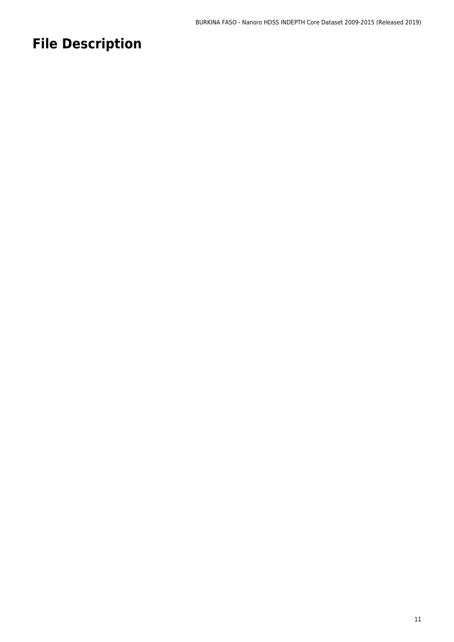# **File Description**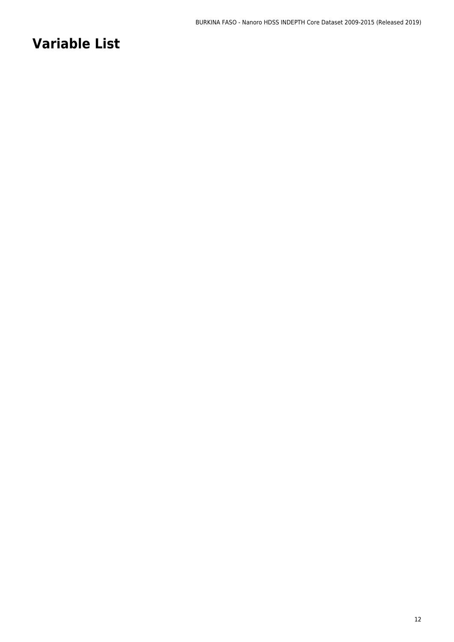# **Variable List**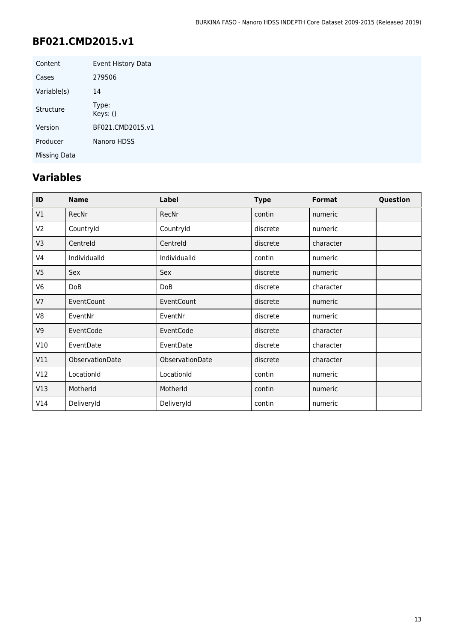### **BF021.CMD2015.v1**

| Content             | Event History Data |
|---------------------|--------------------|
| Cases               | 279506             |
| Variable(s)         | 14                 |
| Structure           | Type:<br>Keys: ()  |
| Version             | BF021.CMD2015.v1   |
| Producer            | Nanoro HDSS        |
| <b>Missing Data</b> |                    |

### **Variables**

| ID             | <b>Name</b>     | Label           | <b>Type</b> | <b>Format</b> | Question |
|----------------|-----------------|-----------------|-------------|---------------|----------|
| V1             | RecNr           | RecNr           | contin      | numeric       |          |
| V <sub>2</sub> | CountryId       | CountryId       | discrete    | numeric       |          |
| V3             | Centreld        | Centreld        | discrete    | character     |          |
| V <sub>4</sub> | IndividualId    | IndividualId    | contin      | numeric       |          |
| V <sub>5</sub> | Sex             | Sex             | discrete    | numeric       |          |
| V <sub>6</sub> | <b>DoB</b>      | <b>DoB</b>      | discrete    | character     |          |
| V <sub>7</sub> | EventCount      | EventCount      | discrete    | numeric       |          |
| V8             | EventNr         | EventNr         | discrete    | numeric       |          |
| V <sub>9</sub> | EventCode       | EventCode       | discrete    | character     |          |
| V10            | EventDate       | EventDate       | discrete    | character     |          |
| V11            | ObservationDate | ObservationDate | discrete    | character     |          |
| V12            | LocationId      | LocationId      | contin      | numeric       |          |
| V13            | MotherId        | MotherId        | contin      | numeric       |          |
| V14            | DeliveryId      | DeliveryId      | contin      | numeric       |          |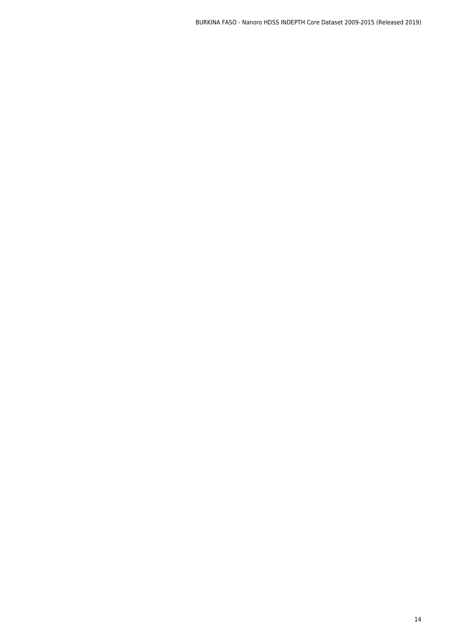BURKINA FASO - Nanoro HDSS INDEPTH Core Dataset 2009-2015 (Released 2019)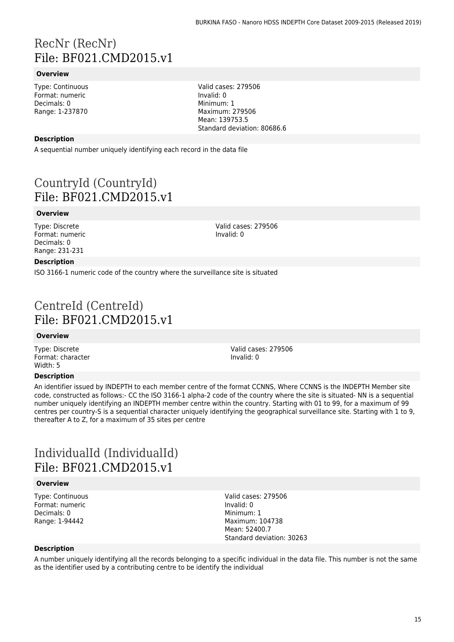### RecNr (RecNr) File: BF021.CMD2015.v1

#### **Overview**

Type: Continuous Format: numeric Decimals: 0 Range: 1-237870

Valid cases: 279506 Invalid: 0 Minimum: 1 Maximum: 279506 Mean: 139753.5 Standard deviation: 80686.6

#### **Description**

A sequential number uniquely identifying each record in the data file

### CountryId (CountryId) File: BF021.CMD2015.v1

#### **Overview**

Type: Discrete Format: numeric Decimals: 0 Range: 231-231

Valid cases: 279506 Invalid: 0

#### **Description**

ISO 3166-1 numeric code of the country where the surveillance site is situated

### CentreId (CentreId) File: BF021.CMD2015.v1

#### **Overview**

Type: Discrete Format: character Width: 5

#### **Description**

An identifier issued by INDEPTH to each member centre of the format CCNNS, Where CCNNS is the INDEPTH Member site code, constructed as follows:- CC the ISO 3166-1 alpha-2 code of the country where the site is situated- NN is a sequential number uniquely identifying an INDEPTH member centre within the country. Starting with 01 to 99, for a maximum of 99 centres per country-S is a sequential character uniquely identifying the geographical surveillance site. Starting with 1 to 9, thereafter A to Z, for a maximum of 35 sites per centre

### IndividualId (IndividualId) File: BF021.CMD2015.v1

#### **Overview**

Type: Continuous Format: numeric Decimals: 0 Range: 1-94442

Valid cases: 279506 Invalid: 0 Minimum: 1 Maximum: 104738 Mean: 52400.7 Standard deviation: 30263

Valid cases: 279506

Invalid: 0

#### **Description**

A number uniquely identifying all the records belonging to a specific individual in the data file. This number is not the same as the identifier used by a contributing centre to be identify the individual

15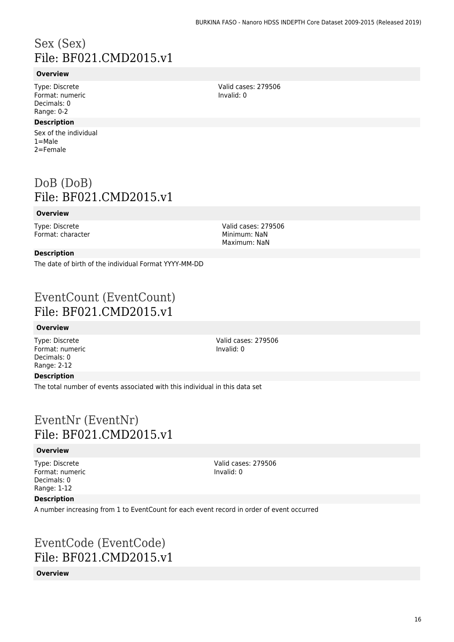### Sex (Sex) File: BF021.CMD2015.v1

#### **Overview**

Type: Discrete Format: numeric Decimals: 0 Range: 0-2

#### **Description**

Sex of the individual 1=Male 2=Female

### DoB (DoB) File: BF021.CMD2015.v1

#### **Overview**

Type: Discrete Format: character Valid cases: 279506 Minimum: NaN Maximum: NaN

#### **Description**

The date of birth of the individual Format YYYY-MM-DD

### EventCount (EventCount) File: BF021.CMD2015.v1

#### **Overview**

Type: Discrete Format: numeric Decimals: 0 Range: 2-12

#### **Description**

The total number of events associated with this individual in this data set

### EventNr (EventNr) File: BF021.CMD2015.v1

#### **Overview**

Type: Discrete Format: numeric Decimals: 0 Range: 1-12

Valid cases: 279506 Invalid: 0

Valid cases: 279506

Invalid: 0

#### **Description**

A number increasing from 1 to EventCount for each event record in order of event occurred

## EventCode (EventCode) File: BF021.CMD2015.v1

#### **Overview**

Valid cases: 279506 Invalid: 0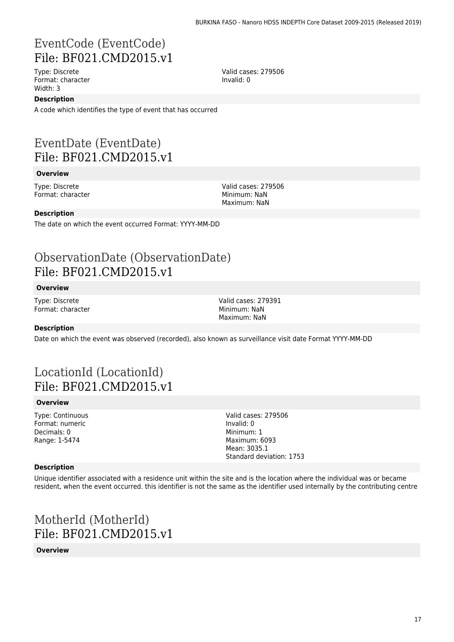### EventCode (EventCode) File: BF021.CMD2015.v1

Type: Discrete Format: character Width: 3

**Description**

A code which identifies the type of event that has occurred

### EventDate (EventDate) File: BF021.CMD2015.v1

#### **Overview**

Type: Discrete Format: character Valid cases: 279506 Minimum: NaN Maximum: NaN

Valid cases: 279506

Invalid: 0

#### **Description**

The date on which the event occurred Format: YYYY-MM-DD

### ObservationDate (ObservationDate) File: BF021.CMD2015.v1

#### **Overview**

Type: Discrete Format: character Valid cases: 279391 Minimum: NaN Maximum: NaN

#### **Description**

Date on which the event was observed (recorded), also known as surveillance visit date Format YYYY-MM-DD

### LocationId (LocationId) File: BF021.CMD2015.v1

#### **Overview**

Type: Continuous Format: numeric Decimals: 0 Range: 1-5474

Valid cases: 279506 Invalid: 0 Minimum: 1 Maximum: 6093 Mean: 3035.1 Standard deviation: 1753

#### **Description**

Unique identifier associated with a residence unit within the site and is the location where the individual was or became resident, when the event occurred. this identifier is not the same as the identifier used internally by the contributing centre

MotherId (MotherId) File: BF021.CMD2015.v1

#### **Overview**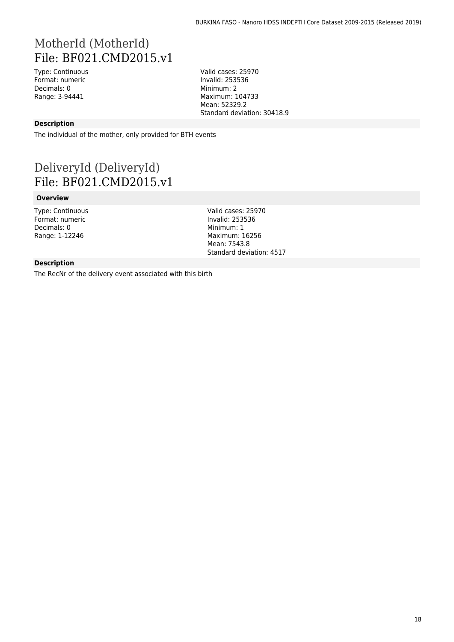### MotherId (MotherId) File: BF021.CMD2015.v1

Type: Continuous Format: numeric Decimals: 0 Range: 3-94441

Valid cases: 25970 Invalid: 253536 Minimum: 2 Maximum: 104733 Mean: 52329.2 Standard deviation: 30418.9

#### **Description**

The individual of the mother, only provided for BTH events

### DeliveryId (DeliveryId) File: BF021.CMD2015.v1

#### **Overview**

Type: Continuous Format: numeric Decimals: 0 Range: 1-12246

Valid cases: 25970 Invalid: 253536 Minimum: 1 Maximum: 16256 Mean: 7543.8 Standard deviation: 4517

#### **Description**

The RecNr of the delivery event associated with this birth